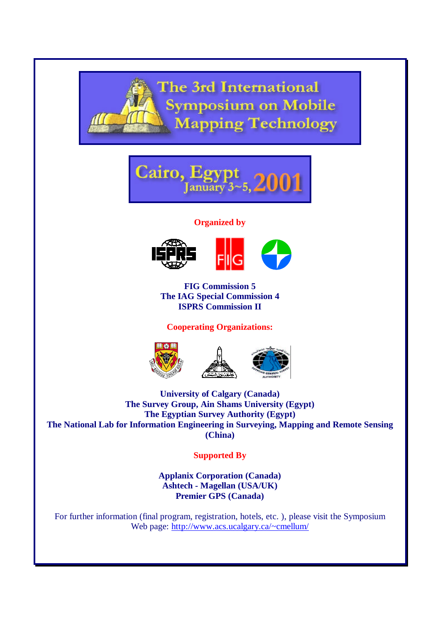



### **Organized by**





**FIG Commission 5 The IAG Special Commission 4 ISPRS Commission II**

# **Cooperating Organizations:**





**University of Calgary (Canada) The Survey Group, Ain Shams University (Egypt) The Egyptian Survey Authority (Egypt) The National Lab for Information Engineering in Surveying, Mapping and Remote Sensing (China)**

**Supported By**

**Applanix Corporation (Canada) Ashtech - Magellan (USA/UK) Premier GPS (Canada)**

For further information (final program, registration, hotels, etc. ), please visit the Symposium Web page: http://www.acs.ucalgary.ca/~cmellum/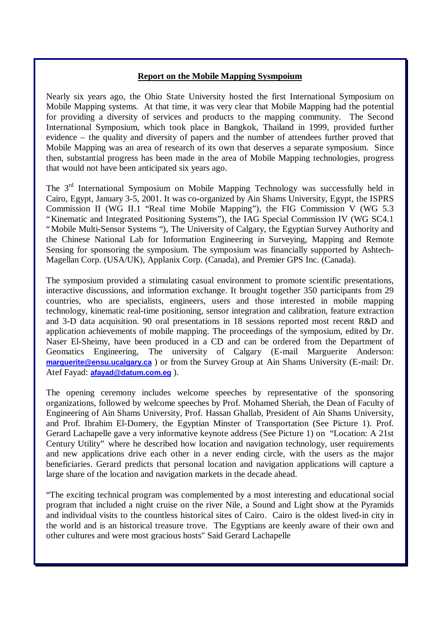### **Report on the Mobile Mapping Sysmpoium**

Nearly six years ago, the Ohio State University hosted the first International Symposium on Mobile Mapping systems. At that time, it was very clear that Mobile Mapping had the potential for providing a diversity of services and products to the mapping community. The Second International Symposium, which took place in Bangkok, Thailand in 1999, provided further evidence – the quality and diversity of papers and the number of attendees further proved that Mobile Mapping was an area of research of its own that deserves a separate symposium. Since then, substantial progress has been made in the area of Mobile Mapping technologies, progress that would not have been anticipated six years ago.

The 3rd International Symposium on Mobile Mapping Technology was successfully held in Cairo, Egypt, January 3-5, 2001. It was co-organized by Ain Shams University, Egypt, the ISPRS Commission II (WG II.1 "Real time Mobile Mapping"), the FIG Commission V (WG 5.3 "Kinematic and Integrated Positioning Systems"), the IAG Special Commission IV (WG SC4.1 "Mobile Multi-Sensor Systems "), The University of Calgary, the Egyptian Survey Authority and the Chinese National Lab for Information Engineering in Surveying, Mapping and Remote Sensing for sponsoring the symposium. The symposium was financially supported by Ashtech-Magellan Corp. (USA/UK), Applanix Corp. (Canada), and Premier GPS Inc. (Canada).

The symposium provided a stimulating casual environment to promote scientific presentations, interactive discussions, and information exchange. It brought together 350 participants from 29 countries, who are specialists, engineers, users and those interested in mobile mapping technology, kinematic real-time positioning, sensor integration and calibration, feature extraction and 3-D data acquisition. 90 oral presentations in 18 sessions reported most recent R&D and application achievements of mobile mapping. The proceedings of the symposium, edited by Dr. Naser El-Sheimy, have been produced in a CD and can be ordered from the Department of Geomatics Engineering, The university of Calgary (E-mail Marguerite Anderson: **marguerite@ensu.ucalgary.ca** ) or from the Survey Group at Ain Shams University (E-mail: Dr. Atef Fayad: **afayad@datum.com.eg** ).

The opening ceremony includes welcome speeches by representative of the sponsoring organizations, followed by welcome speeches by Prof. Mohamed Sheriah, the Dean of Faculty of Engineering of Ain Shams University, Prof. Hassan Ghallab, President of Ain Shams University, and Prof. Ibrahim El-Domery, the Egyptian Minster of Transportation (See Picture 1). Prof. Gerard Lachapelle gave a very informative keynote address (See Picture 1) on "Location: A 21st Century Utility" where he described how location and navigation technology, user requirements and new applications drive each other in a never ending circle, with the users as the major beneficiaries. Gerard predicts that personal location and navigation applications will capture a large share of the location and navigation markets in the decade ahead.

"The exciting technical program was complemented by a most interesting and educational social program that included a night cruise on the river Nile, a Sound and Light show at the Pyramids and individual visits to the countless historical sites of Cairo. Cairo is the oldest lived-in city in the world and is an historical treasure trove. The Egyptians are keenly aware of their own and other cultures and were most gracious hosts" Said Gerard Lachapelle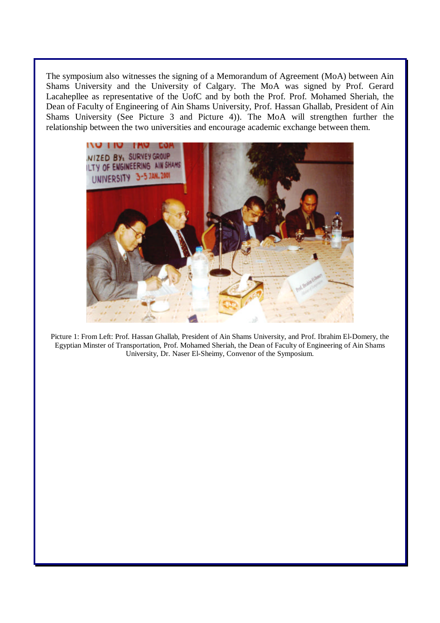The symposium also witnesses the signing of a Memorandum of Agreement (MoA) between Ain Shams University and the University of Calgary. The MoA was signed by Prof. Gerard Lacahepllee as representative of the UofC and by both the Prof. Prof. Mohamed Sheriah, the Dean of Faculty of Engineering of Ain Shams University, Prof. Hassan Ghallab, President of Ain Shams University (See Picture 3 and Picture 4)). The MoA will strengthen further the relationship between the two universities and encourage academic exchange between them.



Picture 1: From Left: Prof. Hassan Ghallab, President of Ain Shams University, and Prof. Ibrahim El-Domery, the Egyptian Minster of Transportation, Prof. Mohamed Sheriah, the Dean of Faculty of Engineering of Ain Shams University, Dr. Naser El-Sheimy, Convenor of the Symposium.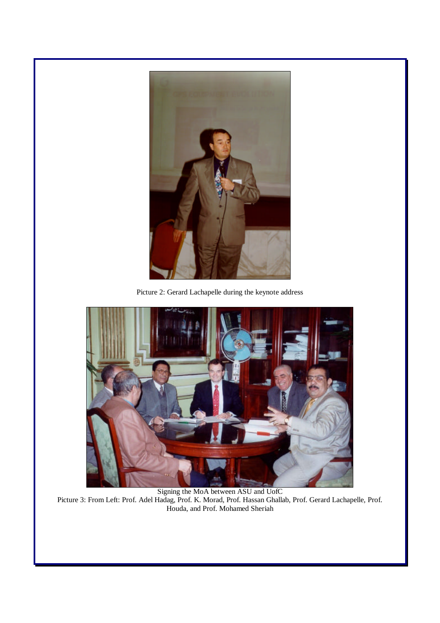

Picture 2: Gerard Lachapelle during the keynote address



Signing the MoA between ASU and UofC Picture 3: From Left: Prof. Adel Hadag, Prof. K. Morad, Prof. Hassan Ghallab, Prof. Gerard Lachapelle, Prof. Houda, and Prof. Mohamed Sheriah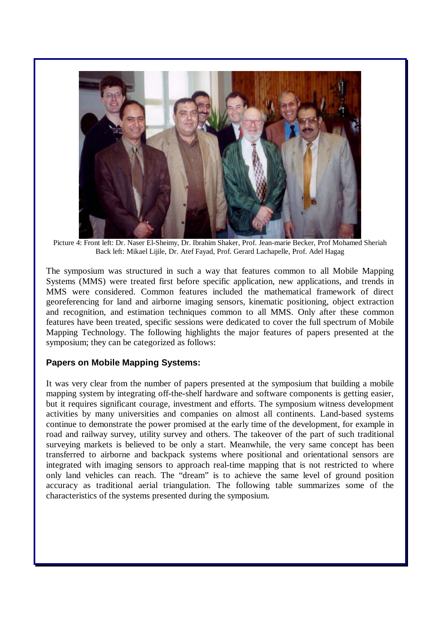

Picture 4: Front left: Dr. Naser El-Sheimy, Dr. Ibrahim Shaker, Prof. Jean-marie Becker, Prof Mohamed Sheriah Back left: Mikael Lijile, Dr. Atef Fayad, Prof. Gerard Lachapelle, Prof. Adel Hagag

The symposium was structured in such a way that features common to all Mobile Mapping Systems (MMS) were treated first before specific application, new applications, and trends in MMS were considered. Common features included the mathematical framework of direct georeferencing for land and airborne imaging sensors, kinematic positioning, object extraction and recognition, and estimation techniques common to all MMS. Only after these common features have been treated, specific sessions were dedicated to cover the full spectrum of Mobile Mapping Technology. The following highlights the major features of papers presented at the symposium; they can be categorized as follows:

## **Papers on Mobile Mapping Systems:**

It was very clear from the number of papers presented at the symposium that building a mobile mapping system by integrating off-the-shelf hardware and software components is getting easier, but it requires significant courage, investment and efforts. The symposium witness development activities by many universities and companies on almost all continents. Land-based systems continue to demonstrate the power promised at the early time of the development, for example in road and railway survey, utility survey and others. The takeover of the part of such traditional surveying markets is believed to be only a start. Meanwhile, the very same concept has been transferred to airborne and backpack systems where positional and orientational sensors are integrated with imaging sensors to approach real-time mapping that is not restricted to where only land vehicles can reach. The "dream" is to achieve the same level of ground position accuracy as traditional aerial triangulation. The following table summarizes some of the characteristics of the systems presented during the symposium.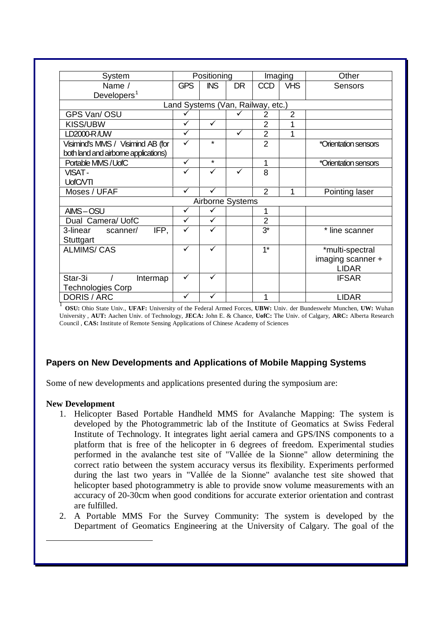| System                               | Positioning  |                  | Imaging      |                                   | Other          |                      |
|--------------------------------------|--------------|------------------|--------------|-----------------------------------|----------------|----------------------|
| Name /                               | <b>GPS</b>   | <b>INS</b>       | <b>DR</b>    | <b>CCD</b>                        | <b>VHS</b>     | <b>Sensors</b>       |
| Developers $1$                       |              |                  |              |                                   |                |                      |
|                                      |              |                  |              | Land Systems (Van, Railway, etc.) |                |                      |
| GPS Van/OSU                          |              |                  |              | 2                                 | $\overline{2}$ |                      |
| <b>KISS/UBW</b>                      | ✓            | $\checkmark$     |              | $\overline{2}$                    | 1              |                      |
| LD2000-R/UW                          | $\checkmark$ |                  | $\checkmark$ | $\overline{2}$                    | 1              |                      |
| Visimind's MMS / Visimind AB (for    | ✓            | $\star$          |              | $\overline{2}$                    |                | *Orientation sensors |
| both land and airborne applications) |              |                  |              |                                   |                |                      |
| Portable MIMS/UofC                   | $\checkmark$ | $\star$          |              | 1                                 |                | *Orientation sensors |
| <b>VISAT-</b>                        | ✓            | $\checkmark$     |              | 8                                 |                |                      |
| UofC/VTI                             |              |                  |              |                                   |                |                      |
| Moses / UFAF                         | $\checkmark$ | $\checkmark$     |              | $\overline{2}$                    | 1              | Pointing laser       |
|                                      |              | Airborne Systems |              |                                   |                |                      |
| AIMS-OSU                             | $\checkmark$ | ✓                |              | $\mathbf{1}$                      |                |                      |
| Dual Camera/ UofC                    | $\checkmark$ | $\checkmark$     |              | $\overline{2}$                    |                |                      |
| IFP,<br>3-linear<br>scanner/         | ✓            | $\checkmark$     |              | $3^*$                             |                | * line scanner       |
| Stuttgart                            |              |                  |              |                                   |                |                      |
| <b>ALMIMS/ CAS</b>                   | ✓            | $\checkmark$     |              | $1*$                              |                | *multi-spectral      |
|                                      |              |                  |              |                                   |                | imaging scanner +    |
|                                      |              |                  |              |                                   |                | <b>LIDAR</b>         |
| Star-3i<br>Intermap                  | ✓            | ✓                |              |                                   |                | <b>IFSAR</b>         |
| Technologies Corp                    |              |                  |              |                                   |                |                      |
| DORIS / ARC                          | ✓            | $\checkmark$     |              | 1                                 |                | <b>LIDAR</b>         |

1 **OSU:** Ohio State Univ., **UFAF:** University of the Federal Armed Forces, **UBW:** Univ. der Bundeswehr Munchen, **UW:** Wuhan University , **AUT:** Aachen Univ. of Technology, **JECA:** John E. & Chance, **UofC:** The Univ. of Calgary, **ARC:** Alberta Research Council , **CAS:** Institute of Remote Sensing Applications of Chinese Academy of Sciences

# **Papers on New Developments and Applications of Mobile Mapping Systems**

Some of new developments and applications presented during the symposium are:

### **New Development**

 $\overline{a}$ 

- 1. Helicopter Based Portable Handheld MMS for Avalanche Mapping: The system is developed by the Photogrammetric lab of the Institute of Geomatics at Swiss Federal Institute of Technology. It integrates light aerial camera and GPS/INS components to a platform that is free of the helicopter in 6 degrees of freedom. Experimental studies performed in the avalanche test site of "Vallée de la Sionne" allow determining the correct ratio between the system accuracy versus its flexibility. Experiments performed during the last two years in "Vallée de la Sionne" avalanche test site showed that helicopter based photogrammetry is able to provide snow volume measurements with an accuracy of 20-30cm when good conditions for accurate exterior orientation and contrast are fulfilled.
- 2. A Portable MMS For the Survey Community: The system is developed by the Department of Geomatics Engineering at the University of Calgary. The goal of the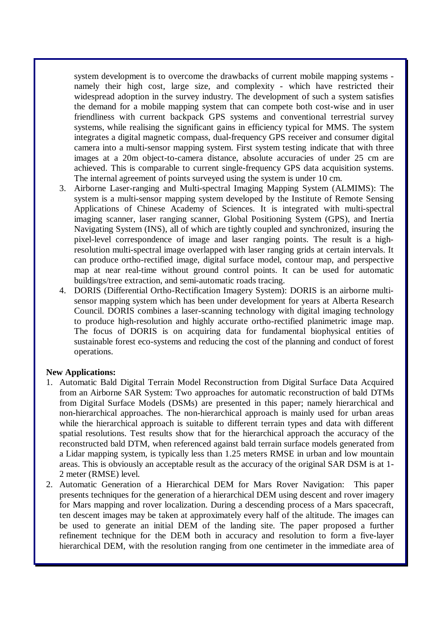system development is to overcome the drawbacks of current mobile mapping systems namely their high cost, large size, and complexity - which have restricted their widespread adoption in the survey industry. The development of such a system satisfies the demand for a mobile mapping system that can compete both cost-wise and in user friendliness with current backpack GPS systems and conventional terrestrial survey systems, while realising the significant gains in efficiency typical for MMS. The system integrates a digital magnetic compass, dual-frequency GPS receiver and consumer digital camera into a multi-sensor mapping system. First system testing indicate that with three images at a 20m object-to-camera distance, absolute accuracies of under 25 cm are achieved. This is comparable to current single-frequency GPS data acquisition systems. The internal agreement of points surveyed using the system is under 10 cm.

- 3. Airborne Laser-ranging and Multi-spectral Imaging Mapping System (ALMIMS): The system is a multi-sensor mapping system developed by the Institute of Remote Sensing Applications of Chinese Academy of Sciences. It is integrated with multi-spectral imaging scanner, laser ranging scanner, Global Positioning System (GPS), and Inertia Navigating System (INS), all of which are tightly coupled and synchronized, insuring the pixel-level correspondence of image and laser ranging points. The result is a highresolution multi-spectral image overlapped with laser ranging grids at certain intervals. It can produce ortho-rectified image, digital surface model, contour map, and perspective map at near real-time without ground control points. It can be used for automatic buildings/tree extraction, and semi-automatic roads tracing.
- 4. DORIS (Differential Ortho-Rectification Imagery System): DORIS is an airborne multisensor mapping system which has been under development for years at Alberta Research Council. DORIS combines a laser-scanning technology with digital imaging technology to produce high-resolution and highly accurate ortho-rectified planimetric image map. The focus of DORIS is on acquiring data for fundamental biophysical entities of sustainable forest eco-systems and reducing the cost of the planning and conduct of forest operations.

### **New Applications:**

- 1. Automatic Bald Digital Terrain Model Reconstruction from Digital Surface Data Acquired from an Airborne SAR System: Two approaches for automatic reconstruction of bald DTMs from Digital Surface Models (DSMs) are presented in this paper; namely hierarchical and non-hierarchical approaches. The non-hierarchical approach is mainly used for urban areas while the hierarchical approach is suitable to different terrain types and data with different spatial resolutions. Test results show that for the hierarchical approach the accuracy of the reconstructed bald DTM, when referenced against bald terrain surface models generated from a Lidar mapping system, is typically less than 1.25 meters RMSE in urban and low mountain areas. This is obviously an acceptable result as the accuracy of the original SAR DSM is at 1- 2 meter (RMSE) level.
- 2. Automatic Generation of a Hierarchical DEM for Mars Rover Navigation: This paper presents techniques for the generation of a hierarchical DEM using descent and rover imagery for Mars mapping and rover localization. During a descending process of a Mars spacecraft, ten descent images may be taken at approximately every half of the altitude. The images can be used to generate an initial DEM of the landing site. The paper proposed a further refinement technique for the DEM both in accuracy and resolution to form a five-layer hierarchical DEM, with the resolution ranging from one centimeter in the immediate area of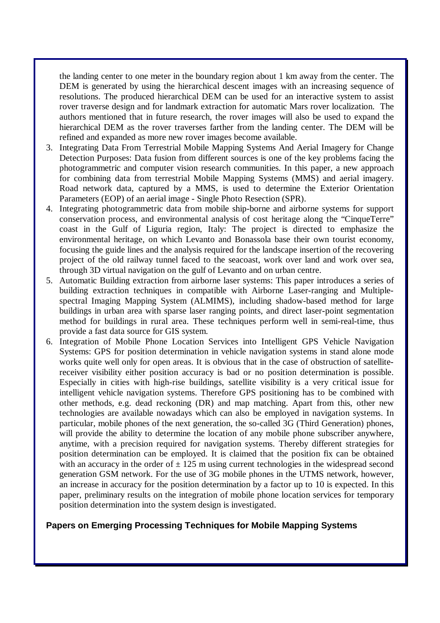the landing center to one meter in the boundary region about 1 km away from the center. The DEM is generated by using the hierarchical descent images with an increasing sequence of resolutions. The produced hierarchical DEM can be used for an interactive system to assist rover traverse design and for landmark extraction for automatic Mars rover localization. The authors mentioned that in future research, the rover images will also be used to expand the hierarchical DEM as the rover traverses farther from the landing center. The DEM will be refined and expanded as more new rover images become available.

- 3. Integrating Data From Terrestrial Mobile Mapping Systems And Aerial Imagery for Change Detection Purposes: Data fusion from different sources is one of the key problems facing the photogrammetric and computer vision research communities. In this paper, a new approach for combining data from terrestrial Mobile Mapping Systems (MMS) and aerial imagery. Road network data, captured by a MMS, is used to determine the Exterior Orientation Parameters (EOP) of an aerial image - Single Photo Resection (SPR).
- 4. Integrating photogrammetric data from mobile ship-borne and airborne systems for support conservation process, and environmental analysis of cost heritage along the "CinqueTerre" coast in the Gulf of Liguria region, Italy: The project is directed to emphasize the environmental heritage, on which Levanto and Bonassola base their own tourist economy, focusing the guide lines and the analysis required for the landscape insertion of the recovering project of the old railway tunnel faced to the seacoast, work over land and work over sea, through 3D virtual navigation on the gulf of Levanto and on urban centre.
- 5. Automatic Building extraction from airborne laser systems: This paper introduces a series of building extraction techniques in compatible with Airborne Laser-ranging and Multiplespectral Imaging Mapping System (ALMIMS), including shadow-based method for large buildings in urban area with sparse laser ranging points, and direct laser-point segmentation method for buildings in rural area. These techniques perform well in semi-real-time, thus provide a fast data source for GIS system.
- 6. Integration of Mobile Phone Location Services into Intelligent GPS Vehicle Navigation Systems: GPS for position determination in vehicle navigation systems in stand alone mode works quite well only for open areas. It is obvious that in the case of obstruction of satellitereceiver visibility either position accuracy is bad or no position determination is possible. Especially in cities with high-rise buildings, satellite visibility is a very critical issue for intelligent vehicle navigation systems. Therefore GPS positioning has to be combined with other methods, e.g. dead reckoning (DR) and map matching. Apart from this, other new technologies are available nowadays which can also be employed in navigation systems. In particular, mobile phones of the next generation, the so-called 3G (Third Generation) phones, will provide the ability to determine the location of any mobile phone subscriber anywhere, anytime, with a precision required for navigation systems. Thereby different strategies for position determination can be employed. It is claimed that the position fix can be obtained with an accuracy in the order of  $\pm$  125 m using current technologies in the widespread second generation GSM network. For the use of 3G mobile phones in the UTMS network, however, an increase in accuracy for the position determination by a factor up to 10 is expected. In this paper, preliminary results on the integration of mobile phone location services for temporary position determination into the system design is investigated.

## **Papers on Emerging Processing Techniques for Mobile Mapping Systems**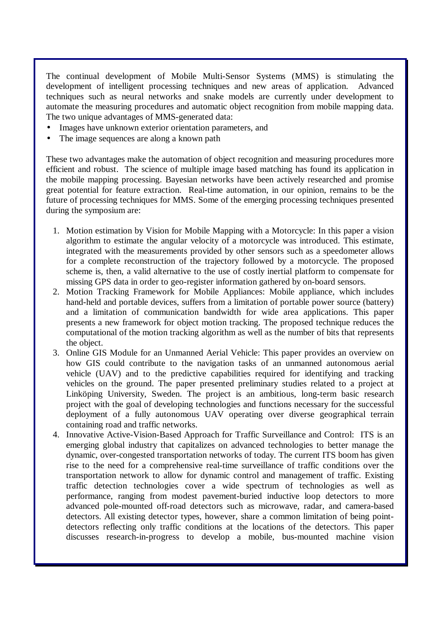The continual development of Mobile Multi-Sensor Systems (MMS) is stimulating the development of intelligent processing techniques and new areas of application. Advanced techniques such as neural networks and snake models are currently under development to automate the measuring procedures and automatic object recognition from mobile mapping data. The two unique advantages of MMS-generated data:

- Images have unknown exterior orientation parameters, and
- The image sequences are along a known path

These two advantages make the automation of object recognition and measuring procedures more efficient and robust. The science of multiple image based matching has found its application in the mobile mapping processing. Bayesian networks have been actively researched and promise great potential for feature extraction. Real-time automation, in our opinion, remains to be the future of processing techniques for MMS. Some of the emerging processing techniques presented during the symposium are:

- 1. Motion estimation by Vision for Mobile Mapping with a Motorcycle: In this paper a vision algorithm to estimate the angular velocity of a motorcycle was introduced. This estimate, integrated with the measurements provided by other sensors such as a speedometer allows for a complete reconstruction of the trajectory followed by a motorcycle. The proposed scheme is, then, a valid alternative to the use of costly inertial platform to compensate for missing GPS data in order to geo-register information gathered by on-board sensors.
- 2. Motion Tracking Framework for Mobile Appliances: Mobile appliance, which includes hand-held and portable devices, suffers from a limitation of portable power source (battery) and a limitation of communication bandwidth for wide area applications. This paper presents a new framework for object motion tracking. The proposed technique reduces the computational of the motion tracking algorithm as well as the number of bits that represents the object.
- 3. Online GIS Module for an Unmanned Aerial Vehicle: This paper provides an overview on how GIS could contribute to the navigation tasks of an unmanned autonomous aerial vehicle (UAV) and to the predictive capabilities required for identifying and tracking vehicles on the ground. The paper presented preliminary studies related to a project at Linköping University, Sweden. The project is an ambitious, long-term basic research project with the goal of developing technologies and functions necessary for the successful deployment of a fully autonomous UAV operating over diverse geographical terrain containing road and traffic networks.
- 4. Innovative Active-Vision-Based Approach for Traffic Surveillance and Control: ITS is an emerging global industry that capitalizes on advanced technologies to better manage the dynamic, over-congested transportation networks of today. The current ITS boom has given rise to the need for a comprehensive real-time surveillance of traffic conditions over the transportation network to allow for dynamic control and management of traffic. Existing traffic detection technologies cover a wide spectrum of technologies as well as performance, ranging from modest pavement-buried inductive loop detectors to more advanced pole-mounted off-road detectors such as microwave, radar, and camera-based detectors. All existing detector types, however, share a common limitation of being pointdetectors reflecting only traffic conditions at the locations of the detectors. This paper discusses research-in-progress to develop a mobile, bus-mounted machine vision